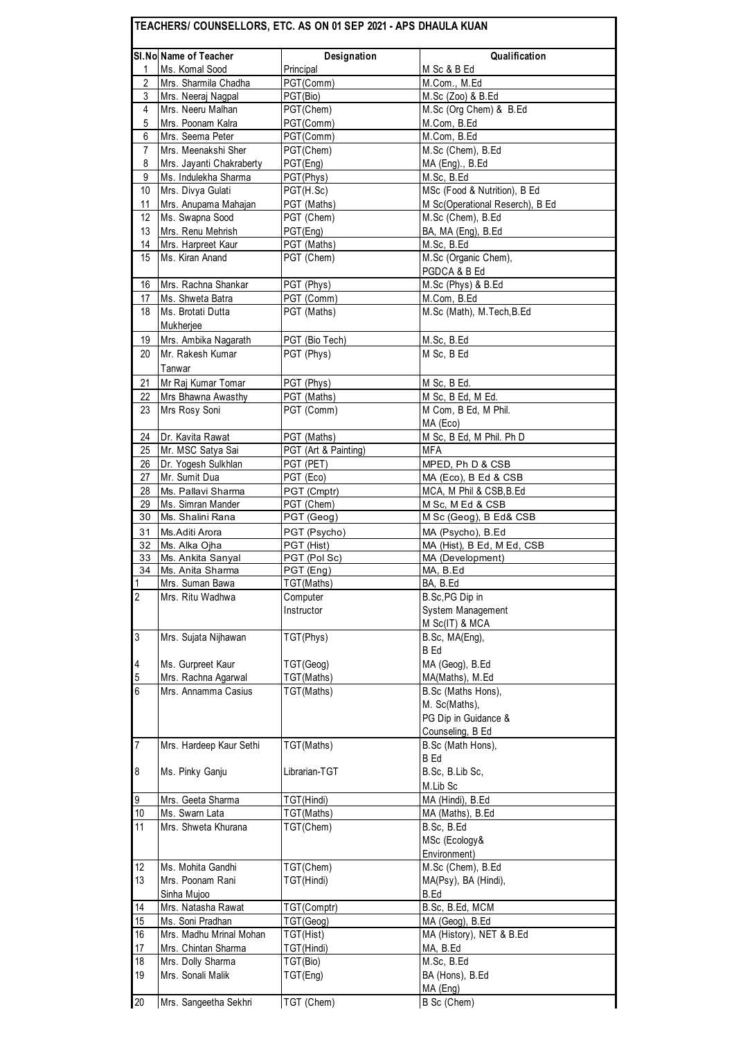|                 | SI.No Name of Teacher    | Designation          | Qualification                     |
|-----------------|--------------------------|----------------------|-----------------------------------|
| 1               | Ms. Komal Sood           | Principal            | M Sc & B Ed                       |
| $\overline{2}$  | Mrs. Sharmila Chadha     | PGT(Comm)            | M.Com., M.Ed                      |
| 3               | Mrs. Neeraj Nagpal       | PGT(Bio)             | M.Sc (Zoo) & B.Ed                 |
| 4               | Mrs. Neeru Malhan        | PGT(Chem)            | M.Sc (Org Chem) & B.Ed            |
| 5               | Mrs. Poonam Kalra        | PGT(Comm)            | M.Com, B.Ed                       |
| 6               | Mrs. Seema Peter         | PGT(Comm)            | M.Com, B.Ed                       |
| 7               | Mrs. Meenakshi Sher      | PGT(Chem)            | M.Sc (Chem), B.Ed                 |
| 8               | Mrs. Jayanti Chakraberty | PGT(Eng)             | MA (Eng)., B.Ed                   |
| 9               | Ms. Indulekha Sharma     | PGT(Phys)            | $\overline{\mathsf{M}}$ .Sc, B.Ed |
| 10              | Mrs. Divya Gulati        | PGT(H.Sc)            | MSc (Food & Nutrition), B Ed      |
| 11              | Mrs. Anupama Mahajan     | PGT (Maths)          | M Sc(Operational Reserch), B Ed   |
| 12              | Ms. Swapna Sood          | PGT (Chem)           | M.Sc (Chem), B.Ed                 |
| 13              | Mrs. Renu Mehrish        | PGT(Eng)             | BA, MA (Eng), B.Ed                |
| 14              | Mrs. Harpreet Kaur       | PGT (Maths)          | M.Sc. B.Ed                        |
| 15              | Ms. Kiran Anand          | PGT (Chem)           | M.Sc (Organic Chem),              |
|                 |                          |                      | PGDCA & B Ed                      |
| 16              | Mrs. Rachna Shankar      | PGT (Phys)           | M.Sc (Phys) & B.Ed                |
| 17              | Ms. Shweta Batra         | PGT (Comm)           | M.Com, B.Ed                       |
| 18              | Ms. Brotati Dutta        | PGT (Maths)          | M.Sc (Math), M.Tech, B.Ed         |
|                 | Mukherjee                |                      |                                   |
| 19              | Mrs. Ambika Nagarath     | PGT (Bio Tech)       | M.Sc, B.Ed                        |
| 20              | Mr. Rakesh Kumar         | PGT (Phys)           | M Sc, B Ed                        |
|                 | Tanwar                   |                      |                                   |
|                 |                          |                      |                                   |
| 21              | Mr Raj Kumar Tomar       | PGT (Phys)           | M Sc, B Ed.                       |
| 22              | Mrs Bhawna Awasthy       | PGT (Maths)          | M Sc, B Ed, M Ed.                 |
| 23              | Mrs Rosy Soni            | PGT (Comm)           | M Com, B Ed, M Phil.              |
|                 |                          |                      | MA (Eco)                          |
| 24              | Dr. Kavita Rawat         | PGT (Maths)          | M Sc, B Ed, M Phil. Ph D          |
| 25              | Mr. MSC Satya Sai        | PGT (Art & Painting) | MFA                               |
| 26              | Dr. Yogesh Sulkhlan      | PGT (PET)            | MPED, Ph D & CSB                  |
| 27              | Mr. Sumit Dua            | PGT (Eco)            | MA (Eco), B Ed & CSB              |
| 28              | Ms. Pallavi Sharma       | PGT (Cmptr)          | MCA, M Phil & CSB, B.Ed           |
| 29              | Ms. Simran Mander        | PGT (Chem)           | M Sc, M Ed & CSB                  |
| 30              | Ms. Shalini Rana         | PGT (Geog)           | M Sc (Geog), B Ed& CSB            |
| 31              | Ms.Aditi Arora           | PGT (Psycho)         | MA (Psycho), B.Ed                 |
| 32              | Ms. Alka Ojha            | PGT (Hist)           | MA (Hist), B Ed, M Ed, CSB        |
| 33              | Ms. Ankita Sanyal        | PGT (Pol Sc)         | MA (Development)                  |
| 34              | Ms. Anita Sharma         | $PGT$ (Fna)          | MA, B.Ed                          |
| 1               | Mrs. Suman Bawa          | TGT(Maths)           | BA, B.Ed                          |
| $\overline{2}$  | Mrs. Ritu Wadhwa         | Computer             | B.Sc,PG Dip in                    |
|                 |                          | Instructor           | System Management                 |
|                 |                          |                      | M Sc(IT) & MCA                    |
| $\overline{3}$  | Mrs. Sujata Nijhawan     | TGT(Phys)            | B.Sc, MA(Eng),                    |
|                 |                          |                      | <b>B</b> Ed                       |
| $\overline{4}$  | Ms. Gurpreet Kaur        | TGT(Geog)            | MA (Geog), B.Ed                   |
| 5               | Mrs. Rachna Agarwal      | TGT(Maths)           | MA(Maths), M.Ed                   |
| $6\overline{6}$ | Mrs. Annamma Casius      | TGT(Maths)           | B.Sc (Maths Hons),                |
|                 |                          |                      | M. Sc(Maths),                     |
|                 |                          |                      | PG Dip in Guidance &              |
|                 |                          |                      | Counseling, B Ed                  |
| $\overline{7}$  | Mrs. Hardeep Kaur Sethi  | TGT(Maths)           | B.Sc (Math Hons),                 |
|                 |                          |                      | B Ed                              |
| $\bf 8$         | Ms. Pinky Ganju          | Librarian-TGT        | B.Sc, B.Lib Sc,                   |
|                 |                          |                      | M.Lib Sc                          |
| 9               | Mrs. Geeta Sharma        | TGT(Hindi)           | MA (Hindi), B.Ed                  |
| 10              | Ms. Swarn Lata           | TGT(Maths)           | MA (Maths), B.Ed                  |
| 11              | Mrs. Shweta Khurana      | TGT(Chem)            | B.Sc, B.Ed                        |
|                 |                          |                      | MSc (Ecology&                     |
|                 |                          |                      |                                   |
|                 |                          |                      | Environment)                      |
| 12              | Ms. Mohita Gandhi        | TGT(Chem)            | M.Sc (Chem), B.Ed                 |
| 13              | Mrs. Poonam Rani         | TGT(Hindi)           | MA(Psy), BA (Hindi),              |
|                 | Sinha Mujoo              |                      | B.Ed                              |
| 14              | Mrs. Natasha Rawat       | TGT(Comptr)          | B.Sc, B.Ed, MCM                   |
| 15              | Ms. Soni Pradhan         | TGT(Geog)            | MA (Geog), B.Ed                   |
| 16              | Mrs. Madhu Mrinal Mohan  | TGT(Hist)            | MA (History), NET & B.Ed          |
| 17              | Mrs. Chintan Sharma      | TGT(Hindi)           | MA, B.Ed                          |
| 18              | Mrs. Dolly Sharma        | TGT(Bio)             | M.Sc, B.Ed                        |
| 19              | Mrs. Sonali Malik        | TGT(Eng)             | BA (Hons), B.Ed                   |
|                 |                          |                      |                                   |
| 20              | Mrs. Sangeetha Sekhri    | TGT (Chem)           | MA (Eng)<br>B Sc (Chem)           |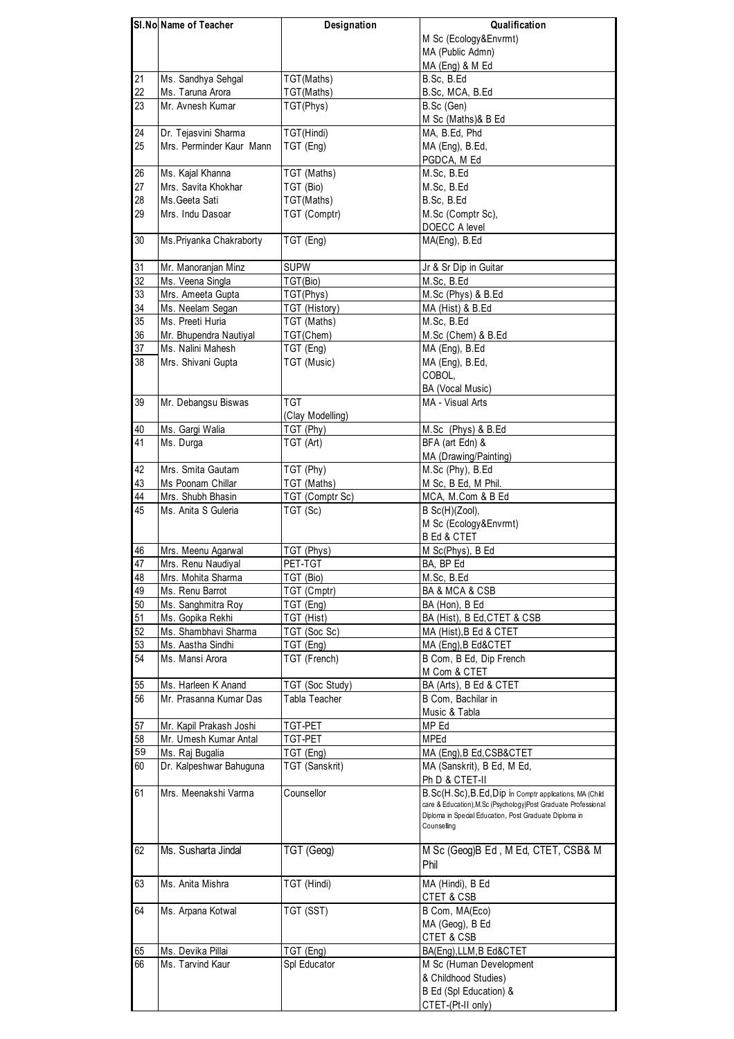|                 | SI.No Name of Teacher    | Designation      | Qualification                                                         |
|-----------------|--------------------------|------------------|-----------------------------------------------------------------------|
|                 |                          |                  | M Sc (Ecology&Envrmt)                                                 |
|                 |                          |                  | MA (Public Admn)                                                      |
|                 |                          |                  | MA (Eng) & M Ed                                                       |
| 21              | Ms. Sandhya Sehgal       | TGT(Maths)       | B.Sc, B.Ed                                                            |
| 22              | Ms. Taruna Arora         | TGT(Maths)       | B.Sc, MCA, B.Ed                                                       |
| 23              | Mr. Avnesh Kumar         | TGT(Phys)        | B.Sc (Gen)                                                            |
|                 |                          |                  | M Sc (Maths)& B Ed                                                    |
| 24              | Dr. Tejasvini Sharma     | TGT(Hindi)       | MA, B.Ed, Phd                                                         |
| 25              | Mrs. Perminder Kaur Mann |                  |                                                                       |
|                 |                          | TGT (Eng)        | MA (Eng), B.Ed,                                                       |
|                 |                          |                  | PGDCA, M Ed                                                           |
| 26              | Ms. Kajal Khanna         | TGT (Maths)      | M.Sc, B.Ed                                                            |
| 27              | Mrs. Savita Khokhar      | TGT (Bio)        | M.Sc, B.Ed                                                            |
| 28              | Ms. Geeta Sati           | TGT(Maths)       | B.Sc. B.Ed                                                            |
| 29              | Mrs. Indu Dasoar         | TGT (Comptr)     | M.Sc (Comptr Sc),                                                     |
|                 |                          |                  | DOECC A level                                                         |
| 30              | Ms. Priyanka Chakraborty | TGT (Eng)        | MA(Eng), B.Ed                                                         |
| 31              | Mr. Manoranjan Minz      | <b>SUPW</b>      | Jr & Sr Dip in Guitar                                                 |
| 32              | Ms. Veena Singla         | TGT(Bio)         | M.Sc, B.Ed                                                            |
| 33              |                          |                  |                                                                       |
|                 | Mrs. Ameeta Gupta        | TGT(Phys)        | M.Sc (Phys) & B.Ed                                                    |
| 34              | Ms. Neelam Segan         | TGT (History)    | MA (Hist) & B.Ed                                                      |
| 35              | Ms. Preeti Huria         | TGT (Maths)      | M.Sc. B.Ed                                                            |
| 36              | Mr. Bhupendra Nautiyal   | TGT(Chem)        | M.Sc (Chem) & B.Ed                                                    |
| 37              | Ms. Nalini Mahesh        | TGT (Eng)        | MA (Eng), B.Ed                                                        |
| 38              | Mrs. Shivani Gupta       | TGT (Music)      | MA (Eng), B.Ed,                                                       |
|                 |                          |                  | COBOL,                                                                |
|                 |                          |                  | BA (Vocal Music)                                                      |
| 39              | Mr. Debangsu Biswas      | <b>TGT</b>       | MA - Visual Arts                                                      |
|                 |                          | (Clay Modelling) |                                                                       |
| 40              | Ms. Gargi Walia          | TGT (Phy)        | M.Sc (Phys) & B.Ed                                                    |
| $\overline{41}$ | Ms. Durga                | TGT (Art)        | BFA (art Edn) &                                                       |
|                 |                          |                  |                                                                       |
|                 |                          |                  | MA (Drawing/Painting)                                                 |
| 42              | Mrs. Smita Gautam        | TGT (Phy)        | M.Sc (Phy), B.Ed                                                      |
| 43              | Ms Poonam Chillar        | TGT (Maths)      | M Sc, B Ed, M Phil.                                                   |
| 44              | Mrs. Shubh Bhasin        | TGT (Comptr Sc)  | MCA, M.Com & B Ed                                                     |
| 45              | Ms. Anita S Guleria      | TGT (Sc)         | $B$ Sc $(H)(Zool)$ ,                                                  |
|                 |                          |                  | M Sc (Ecology&Envrmt)                                                 |
|                 |                          |                  | <b>B Ed &amp; CTET</b>                                                |
| 46              | Mrs. Meenu Agarwal       | TGT (Phys)       | M Sc(Phys), B Ed                                                      |
| 47              | Mrs. Renu Naudiyal       | PET-TGT          | BA, BP Ed                                                             |
| 48              | Mrs. Mohita Sharma       | TGT (Bio)        | M.Sc, B.Ed                                                            |
| 49              | Ms. Renu Barrot          | TGT (Cmptr)      | BA & MCA & CSB                                                        |
| 50              |                          |                  |                                                                       |
|                 | Ms. Sanghmitra Roy       | TGT (Eng)        | BA (Hon), B Ed                                                        |
| 51              | Ms. Gopika Rekhi         | TGT (Hist)       | BA (Hist), B Ed, CTET & CSB                                           |
| 52              | Ms. Shambhavi Sharma     | TGT (Soc Sc)     | MA (Hist), B Ed & CTET                                                |
| 53              | Ms. Aastha Sindhi        | TGT (Eng)        | MA (Eng), B Ed&CTET                                                   |
| 54              | Ms. Mansi Arora          | TGT (French)     | B Com, B Ed, Dip French                                               |
|                 |                          |                  | M Com & CTET                                                          |
| 55              | Ms. Harleen K Anand      | TGT (Soc Study)  | BA (Arts), B Ed & CTET                                                |
| 56              | Mr. Prasanna Kumar Das   | Tabla Teacher    | B Com, Bachilar in                                                    |
|                 |                          |                  | Music & Tabla                                                         |
| 57              | Mr. Kapil Prakash Joshi  | TGT-PET          | MP Ed                                                                 |
| 58              | Mr. Umesh Kumar Antal    | TGT-PET          | MPEd                                                                  |
| 59              |                          |                  |                                                                       |
|                 | Ms. Raj Bugalia          | TGT (Eng)        | MA (Eng), B Ed, CSB&CTET                                              |
| 60              | Dr. Kalpeshwar Bahuguna  | TGT (Sanskrit)   | MA (Sanskrit), B Ed, M Ed,                                            |
|                 |                          |                  | Ph D & CTET-II                                                        |
| 61              | Mrs. Meenakshi Varma     | Counsellor       | B.Sc(H.Sc), B.Ed, Dip in Comptr applications, MA (Child               |
|                 |                          |                  | care & Education), M.Sc (Psychology) Post Graduate Professional       |
|                 |                          |                  | Diploma in Special Education, Post Graduate Diploma in<br>Counselling |
|                 |                          |                  |                                                                       |
| 62              | Ms. Susharta Jindal      | TGT (Geog)       | M Sc (Geog)B Ed, M Ed, CTET, CSB& M                                   |
|                 |                          |                  | Phil                                                                  |
|                 |                          |                  |                                                                       |
| 63              | Ms. Anita Mishra         | TGT (Hindi)      | MA (Hindi), B Ed                                                      |
|                 |                          |                  | CTET & CSB                                                            |
| 64              | Ms. Arpana Kotwal        | TGT (SST)        | B Com, MA(Eco)                                                        |
|                 |                          |                  | MA (Geog), B Ed                                                       |
|                 |                          |                  | CTET & CSB                                                            |
| 65              | Ms. Devika Pillai        | TGT (Eng)        | BA(Eng), LLM, B Ed&CTET                                               |
| 66              | Ms. Tarvind Kaur         |                  |                                                                       |
|                 |                          | Spl Educator     | M Sc (Human Development                                               |
|                 |                          |                  | & Childhood Studies)                                                  |
|                 |                          |                  | B Ed (Spl Education) &                                                |
|                 |                          |                  | CTET-(Pt-II only)                                                     |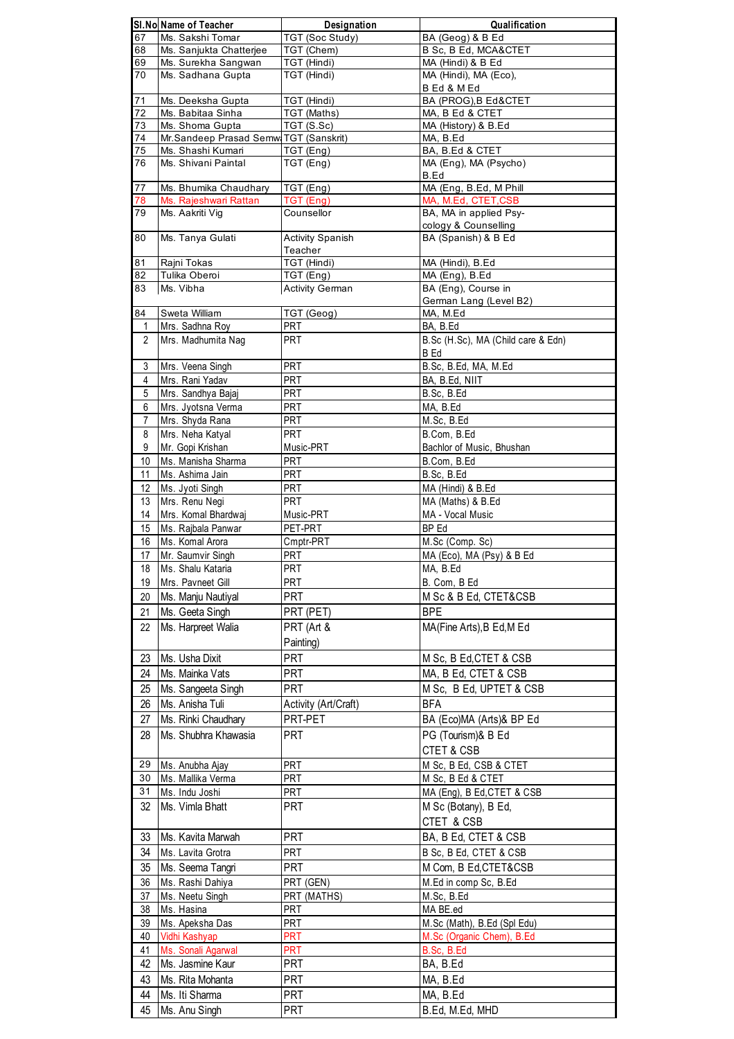|                | SI.No Name of Teacher                    | Designation             | Qualification                                 |
|----------------|------------------------------------------|-------------------------|-----------------------------------------------|
| 67             | Ms. Sakshi Tomar                         | <b>TGT (Soc Study)</b>  | BA (Geog) & B Ed                              |
| 68             | Ms. Sanjukta Chatterjee                  | TGT (Chem)              | B Sc, B Ed, MCA&CTET                          |
| 69             | Ms. Surekha Sangwan                      | TGT (Hindi)             | MA (Hindi) & B Ed                             |
| 70             | Ms. Sadhana Gupta                        | TGT (Hindi)             | MA (Hindi), MA (Eco),                         |
| 71             | Ms. Deeksha Gupta                        | TGT (Hindi)             | B Ed & M Ed<br>BA (PROG), B Ed&CTET           |
| 72             | Ms. Babitaa Sinha                        | TGT (Maths)             | MA, B Ed & CTET                               |
| 73             | Ms. Shoma Gupta                          | TGT (S.Sc)              | MA (History) & B.Ed                           |
| 74             | Mr.Sandeep Prasad Semw TGT (Sanskrit)    |                         | MA, B.Ed                                      |
| 75             | Ms. Shashi Kumari                        | TGT (Eng)               | BA, B.Ed & CTET                               |
| 76             | Ms. Shivani Paintal                      | TGT (Eng)               | MA (Eng), MA (Psycho)                         |
|                |                                          |                         | B.Ed                                          |
| 77             | Ms. Bhumika Chaudhary                    | TGT (Eng)               | MA (Eng, B.Ed, M Phill                        |
| 78<br>79       | Ms. Rajeshwari Rattan                    | TGT (Eng)               | MA, M.Ed, CTET, CSB<br>BA, MA in applied Psy- |
|                | Ms. Aakriti Vig                          | Counsellor              | cology & Counselling                          |
| 80             | Ms. Tanya Gulati                         | <b>Activity Spanish</b> | BA (Spanish) & B Ed                           |
|                |                                          | Teacher                 |                                               |
| 81             | Rajni Tokas                              | TGT (Hindi)             | MA (Hindi), B.Ed                              |
| 82             | Tulika Oberoi                            | TGT (Eng)               | MA (Eng), B.Ed                                |
| 83             | Ms. Vibha                                | <b>Activity German</b>  | BA (Eng), Course in                           |
|                |                                          |                         | German Lang (Level B2)                        |
| 84             | Sweta William                            | TGT (Geog)              | MA, M.Ed                                      |
| 1              | Mrs. Sadhna Roy                          | PRT                     | BA, B.Ed                                      |
| $\overline{2}$ | Mrs. Madhumita Nag                       | <b>PRT</b>              | B.Sc (H.Sc), MA (Child care & Edn)            |
|                |                                          |                         | B Ed                                          |
| 3              | Mrs. Veena Singh                         | <b>PRT</b>              | B.Sc, B.Ed, MA, M.Ed                          |
| 4              | Mrs. Rani Yadav                          | PRT                     | BA, B.Ed, NIIT                                |
| 5<br>6         | Mrs. Sandhya Bajaj<br>Mrs. Jyotsna Verma | PRT<br>PRT              | B.Sc, B.Ed<br>MA, B.Ed                        |
| 7              | Mrs. Shyda Rana                          | <b>PRT</b>              | M.Sc, B.Ed                                    |
| 8              | Mrs. Neha Katyal                         | PRT                     | B.Com, B.Ed                                   |
| 9              | Mr. Gopi Krishan                         | Music-PRT               | Bachlor of Music, Bhushan                     |
| 10             | Ms. Manisha Sharma                       | <b>PRT</b>              | B.Com, B.Ed                                   |
| 11             | Ms. Ashima Jain                          | PRT                     | B.Sc, B.Ed                                    |
| 12             | Ms. Jyoti Singh                          | <b>PRT</b>              | MA (Hindi) & B.Ed                             |
| 13             | Mrs. Renu Negi                           | <b>PRT</b>              | MA (Maths) & B.Ed                             |
| 14             | Mrs. Komal Bhardwaj                      | Music-PRT               | MA - Vocal Music                              |
| 15             | Ms. Rajbala Panwar                       | PET-PRT                 | BP Ed                                         |
| 16             | Ms. Komal Arora                          | Cmptr-PRT               | M.Sc (Comp. Sc)                               |
| 17             | Mr. Saumvir Singh                        | <b>PRT</b>              | MA (Eco), MA (Psy) & B Ed                     |
| 18             | Ms. Shalu Kataria                        | <b>PRT</b>              | MA, B.Ed                                      |
| 19             | Mrs. Pavneet Gill                        | PRT                     | B. Com, B Ed                                  |
| 20             | Ms. Manju Nautiyal                       | <b>PRT</b>              | M Sc & B Ed, CTET&CSB                         |
| 21             | Ms. Geeta Singh                          | PRT (PET)               | <b>BPE</b>                                    |
| 22             | Ms. Harpreet Walia                       | PRT (Art &              | MA(Fine Arts), B Ed, M Ed                     |
|                |                                          | Painting)               |                                               |
|                | Ms. Usha Dixit                           | <b>PRT</b>              |                                               |
| 23             |                                          |                         | M Sc, B Ed, CTET & CSB                        |
| 24             | Ms. Mainka Vats                          | <b>PRT</b>              | MA, B Ed, CTET & CSB                          |
| 25             | Ms. Sangeeta Singh                       | <b>PRT</b>              | M Sc, B Ed, UPTET & CSB                       |
| 26             | Ms. Anisha Tuli                          | Activity (Art/Craft)    | <b>BFA</b>                                    |
| 27             | Ms. Rinki Chaudhary                      | PRT-PET                 | BA (Eco)MA (Arts)& BP Ed                      |
| 28             | Ms. Shubhra Khawasia                     | <b>PRT</b>              | PG (Tourism)& B Ed                            |
|                |                                          |                         | CTET & CSB                                    |
| 29             | Ms. Anubha Ajay                          | PRT                     | M Sc, B Ed, CSB & CTET                        |
| 30             | Ms. Mallika Verma                        | PRT                     | M Sc, B Ed & CTET                             |
| 31             | Ms. Indu Joshi                           | <b>PRT</b>              | MA (Eng), B Ed, CTET & CSB                    |
| 32             | Ms. Vimla Bhatt                          | <b>PRT</b>              | M Sc (Botany), B Ed,                          |
|                |                                          |                         | CTET & CSB                                    |
| 33             | Ms. Kavita Marwah                        | <b>PRT</b>              | BA, B Ed, CTET & CSB                          |
| 34             |                                          | PRT                     | B Sc, B Ed, CTET & CSB                        |
|                | Ms. Lavita Grotra                        |                         |                                               |
| 35             | Ms. Seema Tangri                         | <b>PRT</b>              | M Com, B Ed, CTET&CSB                         |
| 36             | Ms. Rashi Dahiya                         | PRT (GEN)               | M.Ed in comp Sc, B.Ed                         |
| 37             | Ms. Neetu Singh                          | PRT (MATHS)             | M.Sc, B.Ed                                    |
| 38             | Ms. Hasina                               | <b>PRT</b>              | MA BE.ed                                      |
| 39             | Ms. Apeksha Das                          | PRT                     | M.Sc (Math), B.Ed (Spl Edu)                   |
| 40             | Vidhi Kashyap                            | <b>PRT</b>              | M.Sc (Organic Chem), B.Ed                     |
| 41             | Ms. Sonali Agarwal                       | <b>PRT</b>              | B.Sc, B.Ed                                    |
| 42             | Ms. Jasmine Kaur                         | <b>PRT</b>              | BA, B.Ed                                      |
| 43             | Ms. Rita Mohanta                         | <b>PRT</b>              | MA, B.Ed                                      |
| 44             | Ms. Iti Sharma                           | <b>PRT</b>              | MA, B.Ed                                      |
| 45             | Ms. Anu Singh                            | PRT                     | B.Ed, M.Ed, MHD                               |